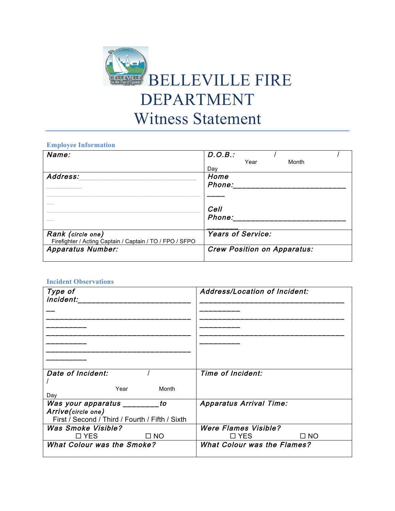

## **Employee Information**

| Name:                                                    | D.O.B.:                            |
|----------------------------------------------------------|------------------------------------|
|                                                          | Year<br>Month                      |
|                                                          | Dav                                |
| Address:                                                 | Home                               |
|                                                          | Phone:                             |
|                                                          |                                    |
|                                                          |                                    |
|                                                          | Cell                               |
|                                                          | Phone:                             |
|                                                          |                                    |
| Rank (circle one)                                        | <b>Years of Service:</b>           |
|                                                          |                                    |
| Firefighter / Acting Captain / Captain / TO / FPO / SFPO |                                    |
| <b>Apparatus Number:</b>                                 | <b>Crew Position on Apparatus:</b> |
|                                                          |                                    |

## **Incident Observations**

| Type of<br>incident:                            | Address/Location of Incident:      |
|-------------------------------------------------|------------------------------------|
|                                                 |                                    |
|                                                 |                                    |
|                                                 |                                    |
|                                                 |                                    |
|                                                 |                                    |
| Date of Incident:                               | Time of Incident:                  |
|                                                 |                                    |
| Year<br>Month<br>Day                            |                                    |
| Was your apparatus _________to                  | <b>Apparatus Arrival Time:</b>     |
| Arrive(circle one)                              |                                    |
| First / Second / Third / Fourth / Fifth / Sixth |                                    |
| <b>Was Smoke Visible?</b>                       | <b>Were Flames Visible?</b>        |
| $\Box$ NO<br>$\square$ YES                      | $\Box$ NO<br>$\square$ YES         |
| <b>What Colour was the Smoke?</b>               | <b>What Colour was the Flames?</b> |
|                                                 |                                    |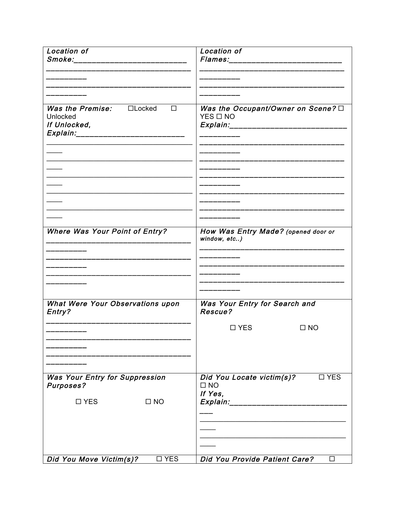| Location of<br>Smoke:__________________________                                                                   | Location of                                                                             |
|-------------------------------------------------------------------------------------------------------------------|-----------------------------------------------------------------------------------------|
|                                                                                                                   |                                                                                         |
|                                                                                                                   |                                                                                         |
| <b>Was the Premise:</b> $\Box$ Locked<br>$\Box$<br>Unlocked<br>If Unlocked,<br>Explain:__________________________ | Was the Occupant/Owner on Scene? O<br>$YES$ $\Box$ NO<br>Explain:______________________ |
|                                                                                                                   |                                                                                         |
|                                                                                                                   |                                                                                         |
|                                                                                                                   |                                                                                         |
| <b>Where Was Your Point of Entry?</b>                                                                             | How Was Entry Made? (opened door or<br>window, etc)                                     |
|                                                                                                                   |                                                                                         |
|                                                                                                                   |                                                                                         |
| What Were Your Observations upon<br>Entry?                                                                        | Was Your Entry for Search and<br>Rescue?                                                |
|                                                                                                                   | $\Box$ YES<br>$\square$ NO                                                              |
|                                                                                                                   |                                                                                         |
| <b>Was Your Entry for Suppression</b><br><b>Purposes?</b>                                                         | Did You Locate victim(s)?<br>$\square$ YES<br>$\square$ NO<br>If Yes,                   |
| $\square$ YES<br>$\square$ NO                                                                                     | Explain:________________                                                                |
|                                                                                                                   |                                                                                         |
|                                                                                                                   |                                                                                         |
| Did You Move Victim(s)?<br>$\square$ YES                                                                          | Did You Provide Patient Care?<br>□                                                      |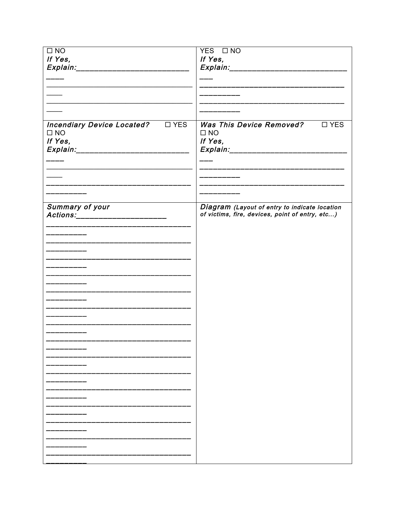| $\square$ NO                                                         | YES ONO                                                                                                                    |
|----------------------------------------------------------------------|----------------------------------------------------------------------------------------------------------------------------|
| If Yes,                                                              | If Yes,                                                                                                                    |
|                                                                      |                                                                                                                            |
| Explain:_____________________________                                | <i>Explain:________________________</i>                                                                                    |
| ------                                                               |                                                                                                                            |
|                                                                      |                                                                                                                            |
|                                                                      | .<br>واحتمال المعارفين المعارفين المعارفين المعارفين المعارفين المعارفين المعارفين المعارفين المعارفين المعارفين المعارفين |
| $\overline{\phantom{a}}$                                             | _______                                                                                                                    |
|                                                                      |                                                                                                                            |
|                                                                      |                                                                                                                            |
|                                                                      |                                                                                                                            |
|                                                                      |                                                                                                                            |
| Incendiary Device Located? UYES                                      | Was This Device Removed?<br>$\square$ YES                                                                                  |
| $\square$ NO                                                         | $\square$ NO                                                                                                               |
| If Yes,                                                              | If Yes,                                                                                                                    |
| Explain:______________________________                               | Explain:______________________________                                                                                     |
|                                                                      |                                                                                                                            |
|                                                                      |                                                                                                                            |
|                                                                      | ________________________                                                                                                   |
|                                                                      |                                                                                                                            |
|                                                                      |                                                                                                                            |
|                                                                      | _______________________                                                                                                    |
|                                                                      | _______________                                                                                                            |
|                                                                      |                                                                                                                            |
| Summary of your                                                      | Diagram (Layout of entry to indicate location                                                                              |
| Actions:______________________                                       | of victims, fire, devices, point of entry, etc)                                                                            |
|                                                                      |                                                                                                                            |
|                                                                      |                                                                                                                            |
| .<br>الاستعمال المستعمل المستعمل المستعمل المستعمل المستعمل المستعمل |                                                                                                                            |
|                                                                      |                                                                                                                            |
|                                                                      |                                                                                                                            |
| _______                                                              |                                                                                                                            |
|                                                                      |                                                                                                                            |
|                                                                      |                                                                                                                            |
| _____________________                                                |                                                                                                                            |
|                                                                      |                                                                                                                            |
|                                                                      |                                                                                                                            |
| ______                                                               |                                                                                                                            |
| ________                                                             |                                                                                                                            |
|                                                                      |                                                                                                                            |
|                                                                      |                                                                                                                            |
|                                                                      |                                                                                                                            |
| _________                                                            |                                                                                                                            |
| ______                                                               |                                                                                                                            |
|                                                                      |                                                                                                                            |
|                                                                      |                                                                                                                            |
|                                                                      |                                                                                                                            |
|                                                                      |                                                                                                                            |
|                                                                      |                                                                                                                            |
|                                                                      |                                                                                                                            |
|                                                                      |                                                                                                                            |
|                                                                      |                                                                                                                            |
|                                                                      |                                                                                                                            |
|                                                                      |                                                                                                                            |
|                                                                      |                                                                                                                            |
|                                                                      |                                                                                                                            |
|                                                                      |                                                                                                                            |
|                                                                      |                                                                                                                            |
|                                                                      |                                                                                                                            |
|                                                                      |                                                                                                                            |
|                                                                      |                                                                                                                            |
|                                                                      |                                                                                                                            |
|                                                                      |                                                                                                                            |